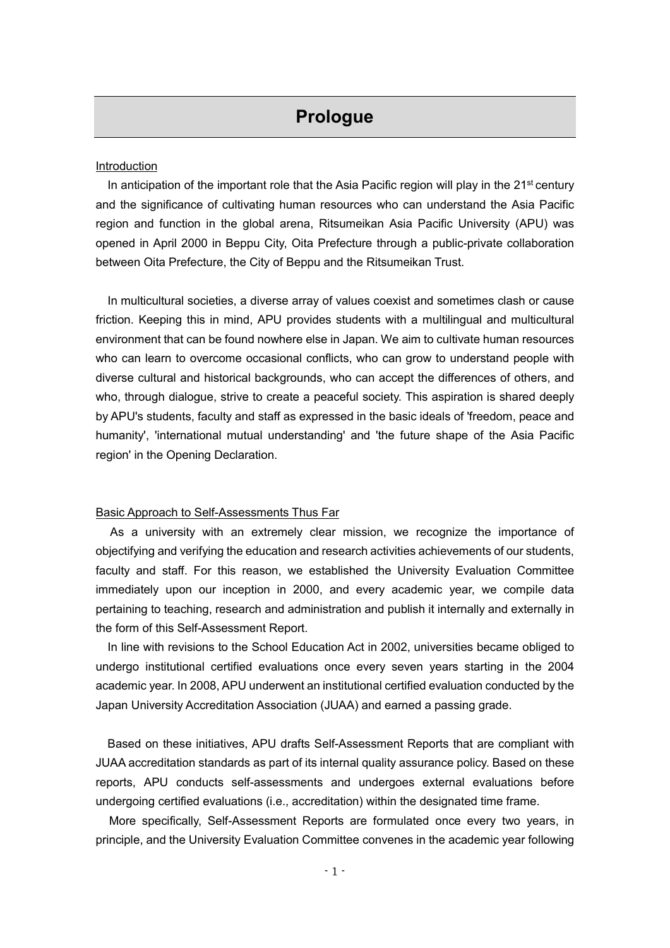# **Prologue**

## **Introduction**

In anticipation of the important role that the Asia Pacific region will play in the 21<sup>st</sup> century and the significance of cultivating human resources who can understand the Asia Pacific region and function in the global arena, Ritsumeikan Asia Pacific University (APU) was opened in April 2000 in Beppu City, Oita Prefecture through a public-private collaboration between Oita Prefecture, the City of Beppu and the Ritsumeikan Trust.

In multicultural societies, a diverse array of values coexist and sometimes clash or cause friction. Keeping this in mind, APU provides students with a multilingual and multicultural environment that can be found nowhere else in Japan. We aim to cultivate human resources who can learn to overcome occasional conflicts, who can grow to understand people with diverse cultural and historical backgrounds, who can accept the differences of others, and who, through dialogue, strive to create a peaceful society. This aspiration is shared deeply by APU's students, faculty and staff as expressed in the basic ideals of 'freedom, peace and humanity', 'international mutual understanding' and 'the future shape of the Asia Pacific region' in the Opening Declaration.

#### Basic Approach to Self-Assessments Thus Far

As a university with an extremely clear mission, we recognize the importance of objectifying and verifying the education and research activities achievements of our students, faculty and staff. For this reason, we established the University Evaluation Committee immediately upon our inception in 2000, and every academic year, we compile data pertaining to teaching, research and administration and publish it internally and externally in the form of this Self-Assessment Report.

In line with revisions to the School Education Act in 2002, universities became obliged to undergo institutional certified evaluations once every seven years starting in the 2004 academic year. In 2008, APU underwent an institutional certified evaluation conducted by the Japan University Accreditation Association (JUAA) and earned a passing grade.

Based on these initiatives, APU drafts Self-Assessment Reports that are compliant with JUAA accreditation standards as part of its internal quality assurance policy. Based on these reports, APU conducts self-assessments and undergoes external evaluations before undergoing certified evaluations (i.e., accreditation) within the designated time frame.

More specifically, Self-Assessment Reports are formulated once every two years, in principle, and the University Evaluation Committee convenes in the academic year following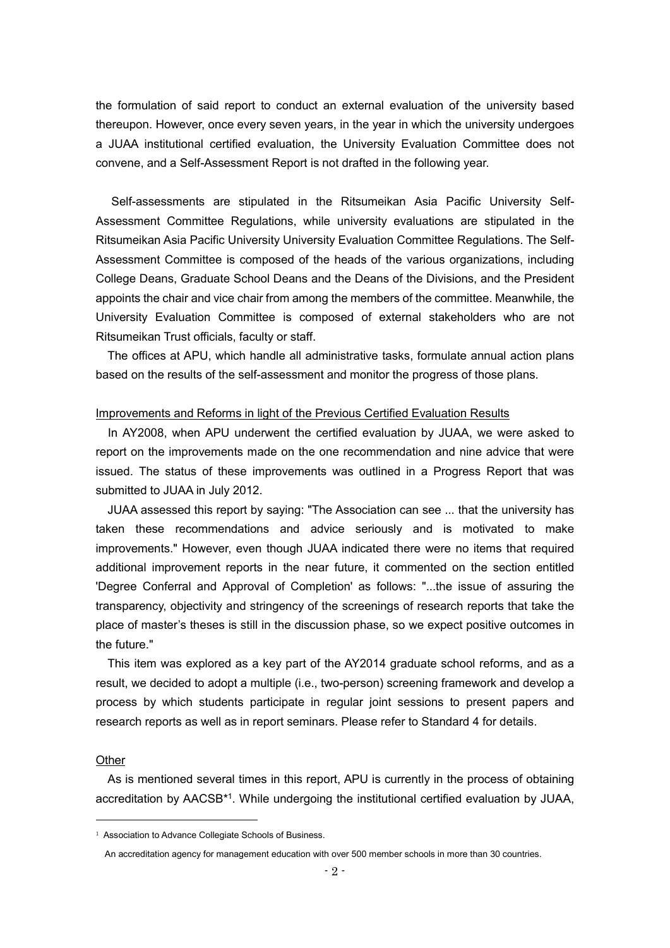the formulation of said report to conduct an external evaluation of the university based thereupon. However, once every seven years, in the year in which the university undergoes a JUAA institutional certified evaluation, the University Evaluation Committee does not convene, and a Self-Assessment Report is not drafted in the following year.

Self-assessments are stipulated in the Ritsumeikan Asia Pacific University Self-Assessment Committee Regulations, while university evaluations are stipulated in the Ritsumeikan Asia Pacific University University Evaluation Committee Regulations. The Self-Assessment Committee is composed of the heads of the various organizations, including College Deans, Graduate School Deans and the Deans of the Divisions, and the President appoints the chair and vice chair from among the members of the committee. Meanwhile, the University Evaluation Committee is composed of external stakeholders who are not Ritsumeikan Trust officials, faculty or staff.

The offices at APU, which handle all administrative tasks, formulate annual action plans based on the results of the self-assessment and monitor the progress of those plans.

#### Improvements and Reforms in light of the Previous Certified Evaluation Results

In AY2008, when APU underwent the certified evaluation by JUAA, we were asked to report on the improvements made on the one recommendation and nine advice that were issued. The status of these improvements was outlined in a Progress Report that was submitted to JUAA in July 2012.

JUAA assessed this report by saying: "The Association can see ... that the university has taken these recommendations and advice seriously and is motivated to make improvements." However, even though JUAA indicated there were no items that required additional improvement reports in the near future, it commented on the section entitled 'Degree Conferral and Approval of Completion' as follows: "...the issue of assuring the transparency, objectivity and stringency of the screenings of research reports that take the place of master's theses is still in the discussion phase, so we expect positive outcomes in the future."

This item was explored as a key part of the AY2014 graduate school reforms, and as a result, we decided to adopt a multiple (i.e., two-person) screening framework and develop a process by which students participate in regular joint sessions to present papers and research reports as well as in report seminars. Please refer to Standard 4 for details.

### **Other**

As is mentioned several times in this report, APU is currently in the process of obtaining accreditation by AACSB<sup>\*1</sup>. While undergoing the institutional certified evaluation by JUAA,

<sup>&</sup>lt;sup>1</sup> Association to Advance Collegiate Schools of Business.

An accreditation agency for management education with over 500 member schools in more than 30 countries.